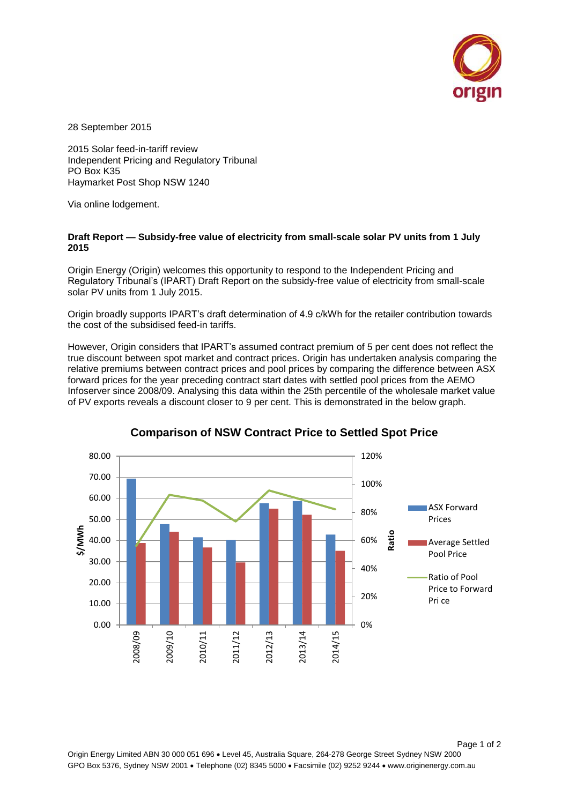

28 September 2015

2015 Solar feed-in-tariff review Independent Pricing and Regulatory Tribunal PO Box K35 Haymarket Post Shop NSW 1240

Via online lodgement.

## **Draft Report — Subsidy-free value of electricity from small-scale solar PV units from 1 July 2015**

Origin Energy (Origin) welcomes this opportunity to respond to the Independent Pricing and Regulatory Tribunal's (IPART) Draft Report on the subsidy-free value of electricity from small-scale solar PV units from 1 July 2015.

Origin broadly supports IPART's draft determination of 4.9 c/kWh for the retailer contribution towards the cost of the subsidised feed-in tariffs.

However, Origin considers that IPART's assumed contract premium of 5 per cent does not reflect the true discount between spot market and contract prices. Origin has undertaken analysis comparing the relative premiums between contract prices and pool prices by comparing the difference between ASX forward prices for the year preceding contract start dates with settled pool prices from the AEMO Infoserver since 2008/09. Analysing this data within the 25th percentile of the wholesale market value of PV exports reveals a discount closer to 9 per cent. This is demonstrated in the below graph.



## **Comparison of NSW Contract Price to Settled Spot Price**